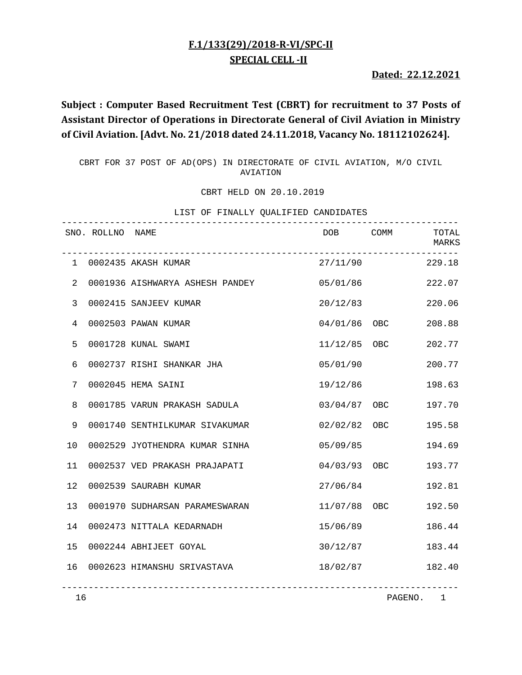## **F.1/133(29)/2018‐R‐VI/SPC‐II SPECIAL CELL ‐II**

**Dated: 22.12.2021**

# **Subject : Computer Based Recruitment Test (CBRT) for recruitment to 37 Posts of Assistant Director of Operations in Directorate General of Civil Aviation in Ministry of Civil Aviation. [Advt. No. 21/2018 dated 24.11.2018, Vacancy No. 18112102624].**

CBRT FOR 37 POST OF AD(OPS) IN DIRECTORATE OF CIVIL AVIATION, M/O CIVIL AVIATION

CBRT HELD ON 20.10.2019

|                |                  | r tinumit                       | VOADITIED CANDIDAIED |                |                |
|----------------|------------------|---------------------------------|----------------------|----------------|----------------|
|                | SNO. ROLLNO NAME |                                 | DOB <sub>a</sub>     | COMM           | TOTAL<br>MARKS |
|                |                  | 1 0002435 AKASH KUMAR           | 27/11/90             |                | 229.18         |
| 2              |                  | 0001936 AISHWARYA ASHESH PANDEY | 05/01/86             |                | 222.07         |
| $\mathfrak{Z}$ |                  | 0002415 SANJEEV KUMAR           | 20/12/83             |                | 220.06         |
| 4              |                  | 0002503 PAWAN KUMAR             |                      | 04/01/86 OBC   | 208.88         |
| 5              |                  | 0001728 KUNAL SWAMI             |                      | $11/12/85$ OBC | 202.77         |
| 6              |                  | 0002737 RISHI SHANKAR JHA       | 05/01/90             |                | 200.77         |
| 7              |                  | 0002045 HEMA SAINI              | 19/12/86             |                | 198.63         |
| 8              |                  | 0001785 VARUN PRAKASH SADULA    |                      | 03/04/87 OBC   | 197.70         |
| $\mathsf 9$    |                  | 0001740 SENTHILKUMAR SIVAKUMAR  |                      | 02/02/82 OBC   | 195.58         |
| 10             |                  | 0002529 JYOTHENDRA KUMAR SINHA  | 05/09/85             |                | 194.69         |
| 11             |                  | 0002537 VED PRAKASH PRAJAPATI   | 04/03/93 OBC         |                | 193.77         |
| 12             |                  | 0002539 SAURABH KUMAR           | 27/06/84             |                | 192.81         |
| 13             |                  | 0001970 SUDHARSAN PARAMESWARAN  | 11/07/88 OBC         |                | 192.50         |
| 14             |                  | 0002473 NITTALA KEDARNADH       | 15/06/89             |                | 186.44         |
| 15             |                  | 0002244 ABHIJEET GOYAL          | 30/12/87             |                | 183.44         |
| 16             |                  | 0002623 HIMANSHU SRIVASTAVA     | 18/02/87             |                | 182.40         |
| 16             |                  |                                 |                      | PAGENO. 1      |                |

LIST OF FINALLY QUALIFIED CANDIDATES

PAGENO. 1